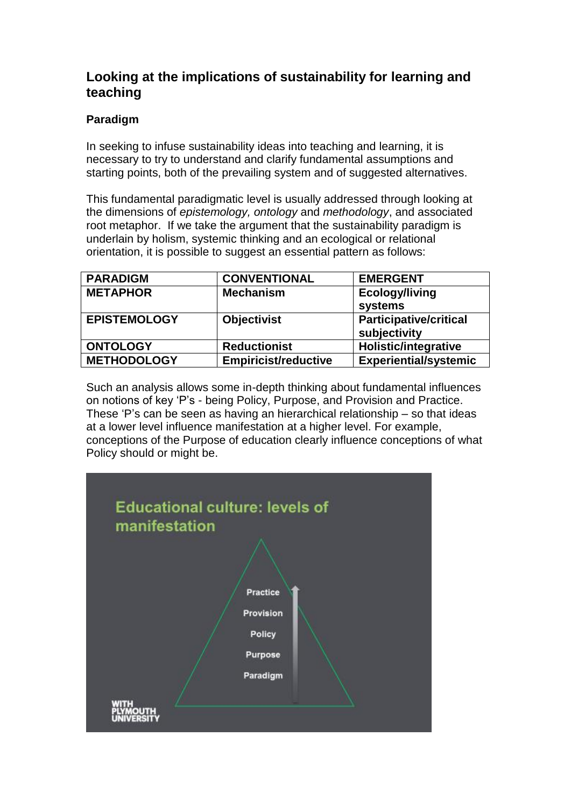# **Looking at the implications of sustainability for learning and teaching**

## **Paradigm**

In seeking to infuse sustainability ideas into teaching and learning, it is necessary to try to understand and clarify fundamental assumptions and starting points, both of the prevailing system and of suggested alternatives.

This fundamental paradigmatic level is usually addressed through looking at the dimensions of *epistemology, ontology* and *methodology*, and associated root metaphor. If we take the argument that the sustainability paradigm is underlain by holism, systemic thinking and an ecological or relational orientation, it is possible to suggest an essential pattern as follows:

| <b>PARADIGM</b>     | <b>CONVENTIONAL</b>         | <b>EMERGENT</b>                               |
|---------------------|-----------------------------|-----------------------------------------------|
| <b>METAPHOR</b>     | <b>Mechanism</b>            | <b>Ecology/living</b><br>systems              |
| <b>EPISTEMOLOGY</b> | <b>Objectivist</b>          | <b>Participative/critical</b><br>subjectivity |
| <b>ONTOLOGY</b>     | <b>Reductionist</b>         | <b>Holistic/integrative</b>                   |
| <b>METHODOLOGY</b>  | <b>Empiricist/reductive</b> | <b>Experiential/systemic</b>                  |

Such an analysis allows some in-depth thinking about fundamental influences on notions of key 'P's - being Policy, Purpose, and Provision and Practice. These 'P's can be seen as having an hierarchical relationship – so that ideas at a lower level influence manifestation at a higher level. For example, conceptions of the Purpose of education clearly influence conceptions of what Policy should or might be.

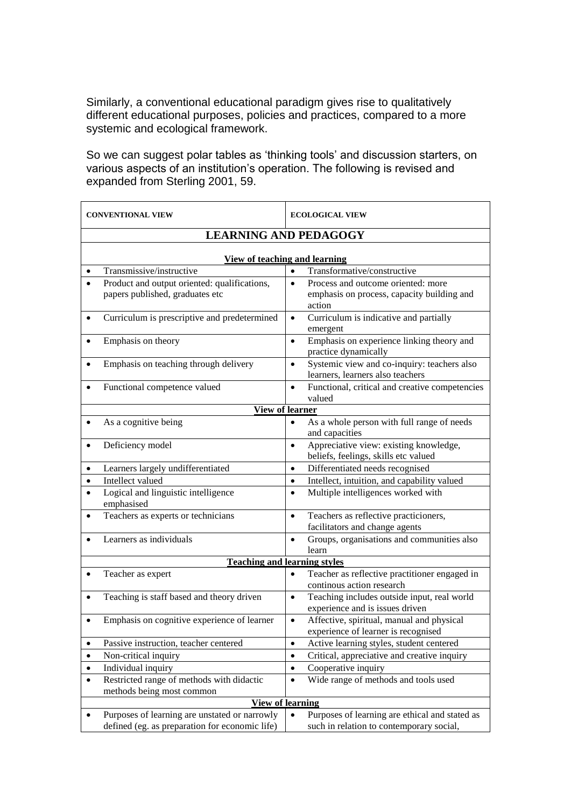Similarly, a conventional educational paradigm gives rise to qualitatively different educational purposes, policies and practices, compared to a more systemic and ecological framework.

So we can suggest polar tables as 'thinking tools' and discussion starters, on various aspects of an institution's operation. The following is revised and expanded from Sterling 2001, 59.

| <b>CONVENTIONAL VIEW</b>                                                                        | <b>ECOLOGICAL VIEW</b>                                                                                  |  |  |
|-------------------------------------------------------------------------------------------------|---------------------------------------------------------------------------------------------------------|--|--|
| <b>LEARNING AND PEDAGOGY</b>                                                                    |                                                                                                         |  |  |
|                                                                                                 |                                                                                                         |  |  |
| View of teaching and learning                                                                   |                                                                                                         |  |  |
| Transmissive/instructive                                                                        | Transformative/constructive<br>$\bullet$                                                                |  |  |
| Product and output oriented: qualifications,<br>papers published, graduates etc                 | Process and outcome oriented: more<br>$\bullet$<br>emphasis on process, capacity building and           |  |  |
|                                                                                                 | action                                                                                                  |  |  |
| Curriculum is prescriptive and predetermined                                                    | Curriculum is indicative and partially<br>$\bullet$<br>emergent                                         |  |  |
| Emphasis on theory                                                                              | Emphasis on experience linking theory and<br>$\bullet$<br>practice dynamically                          |  |  |
| Emphasis on teaching through delivery                                                           | Systemic view and co-inquiry: teachers also<br>learners, learners also teachers                         |  |  |
| Functional competence valued                                                                    | Functional, critical and creative competencies<br>$\bullet$<br>valued                                   |  |  |
| <b>View of learner</b>                                                                          |                                                                                                         |  |  |
| As a cognitive being                                                                            | As a whole person with full range of needs<br>and capacities                                            |  |  |
| Deficiency model<br>$\bullet$                                                                   | Appreciative view: existing knowledge,<br>$\bullet$<br>beliefs, feelings, skills etc valued             |  |  |
| Learners largely undifferentiated<br>$\bullet$                                                  | Differentiated needs recognised<br>$\bullet$                                                            |  |  |
| Intellect valued<br>٠                                                                           | Intellect, intuition, and capability valued<br>$\bullet$                                                |  |  |
| Logical and linguistic intelligence<br>$\bullet$<br>emphasised                                  | Multiple intelligences worked with<br>$\bullet$                                                         |  |  |
| Teachers as experts or technicians<br>$\bullet$                                                 | Teachers as reflective practicioners,<br>$\bullet$<br>facilitators and change agents                    |  |  |
| Learners as individuals                                                                         | Groups, organisations and communities also<br>$\bullet$<br>learn                                        |  |  |
| <b>Teaching and learning styles</b>                                                             |                                                                                                         |  |  |
| Teacher as expert<br>$\bullet$                                                                  | Teacher as reflective practitioner engaged in<br>$\bullet$<br>continous action research                 |  |  |
| Teaching is staff based and theory driven<br>$\bullet$                                          | Teaching includes outside input, real world<br>$\bullet$<br>experience and is issues driven             |  |  |
| Emphasis on cognitive experience of learner                                                     | Affective, spiritual, manual and physical<br>$\bullet$<br>experience of learner is recognised           |  |  |
| Passive instruction, teacher centered                                                           | Active learning styles, student centered<br>$\bullet$                                                   |  |  |
| Non-critical inquiry<br>$\bullet$                                                               | Critical, appreciative and creative inquiry<br>$\bullet$                                                |  |  |
| Individual inquiry<br>$\bullet$                                                                 | Cooperative inquiry<br>$\bullet$                                                                        |  |  |
| Restricted range of methods with didactic<br>methods being most common                          | Wide range of methods and tools used<br>$\bullet$                                                       |  |  |
| <b>View of learning</b>                                                                         |                                                                                                         |  |  |
| Purposes of learning are unstated or narrowly<br>defined (eg. as preparation for economic life) | Purposes of learning are ethical and stated as<br>$\bullet$<br>such in relation to contemporary social, |  |  |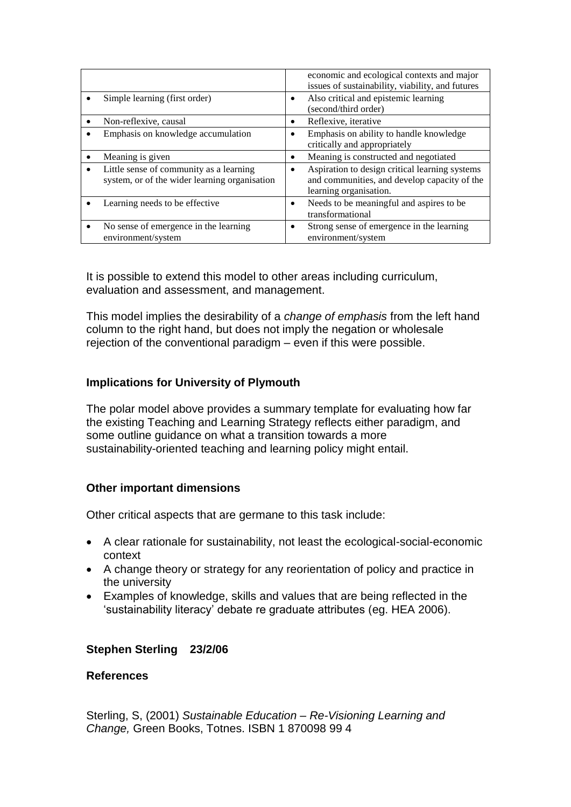|                                                                                          | economic and ecological contexts and major<br>issues of sustainability, viability, and futures                           |
|------------------------------------------------------------------------------------------|--------------------------------------------------------------------------------------------------------------------------|
| Simple learning (first order)                                                            | Also critical and epistemic learning<br>(second/third order)                                                             |
| Non-reflexive, causal                                                                    | Reflexive, iterative                                                                                                     |
| Emphasis on knowledge accumulation                                                       | Emphasis on ability to handle knowledge<br>critically and appropriately                                                  |
| Meaning is given                                                                         | Meaning is constructed and negotiated                                                                                    |
| Little sense of community as a learning<br>system, or of the wider learning organisation | Aspiration to design critical learning systems<br>and communities, and develop capacity of the<br>learning organisation. |
| Learning needs to be effective                                                           | Needs to be meaningful and aspires to be<br>transformational                                                             |
| No sense of emergence in the learning<br>$\bullet$<br>environment/system                 | Strong sense of emergence in the learning<br>environment/system                                                          |

It is possible to extend this model to other areas including curriculum, evaluation and assessment, and management.

This model implies the desirability of a *change of emphasis* from the left hand column to the right hand, but does not imply the negation or wholesale rejection of the conventional paradigm – even if this were possible.

### **Implications for University of Plymouth**

The polar model above provides a summary template for evaluating how far the existing Teaching and Learning Strategy reflects either paradigm, and some outline quidance on what a transition towards a more sustainability-oriented teaching and learning policy might entail.

#### **Other important dimensions**

Other critical aspects that are germane to this task include:

- A clear rationale for sustainability, not least the ecological-social-economic context
- A change theory or strategy for any reorientation of policy and practice in the university
- Examples of knowledge, skills and values that are being reflected in the 'sustainability literacy' debate re graduate attributes (eg. HEA 2006).

#### **Stephen Sterling 23/2/06**

#### **References**

Sterling, S, (2001) *Sustainable Education – Re-Visioning Learning and Change,* Green Books, Totnes. ISBN 1 870098 99 4